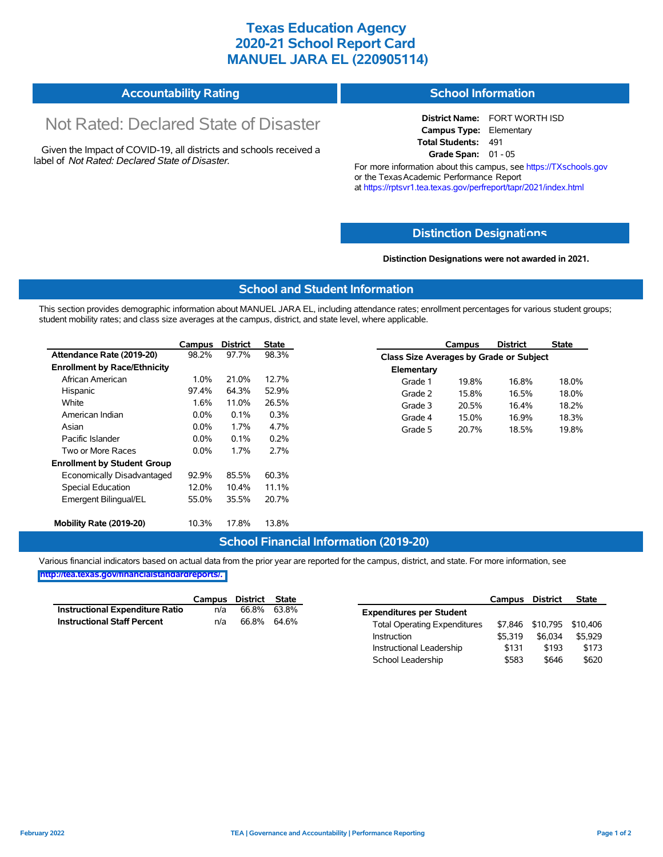## **Texas Education Agency 2020-21 School Report Card MANUEL JARA EL (220905114)**

| <b>Accountability Rating</b> | <b>School Information</b> |
|------------------------------|---------------------------|
|------------------------------|---------------------------|

# Not Rated: Declared State of Disaster

Given the Impact of COVID-19, all districts and schools received a label of *Not Rated: Declared State of Disaster.*

**District Name:** FORT WORTH ISD **Campus Type:** Elementary **Total Students:** 491 **Grade Span:** 01 - 05

For more information about this campus, see https://TXschools.gov or the Texas Academic Performance Report at https://rptsvr1.tea.texas.gov/perfreport/tapr/2021/index.html

#### **Distinction Designat[ions](https://TXschools.gov)**

**Distinction Designations were not awarded in 2021.**

School Leadership  $$583$  \$646 \$620

#### **School and Student Information**

This section provides demographic information about MANUEL JARA EL, including attendance rates; enrollment percentages for various student groups; student mobility rates; and class size averages at the campus, district, and state level, where applicable.

|                                     | Campus  | <b>District</b> | <b>State</b> | <b>District</b><br><b>State</b><br>Campus |
|-------------------------------------|---------|-----------------|--------------|-------------------------------------------|
| Attendance Rate (2019-20)           | 98.2%   | 97.7%           | 98.3%        | Class Size Averages by Grade or Subject   |
| <b>Enrollment by Race/Ethnicity</b> |         |                 |              | Elementary                                |
| African American                    | 1.0%    | 21.0%           | 12.7%        | Grade 1<br>19.8%<br>16.8%<br>18.0%        |
| Hispanic                            | 97.4%   | 64.3%           | 52.9%        | Grade 2<br>15.8%<br>16.5%<br>18.0%        |
| White                               | 1.6%    | 11.0%           | 26.5%        | 18.2%<br>Grade 3<br>20.5%<br>16.4%        |
| American Indian                     | $0.0\%$ | 0.1%            | 0.3%         | 18.3%<br>15.0%<br>16.9%<br>Grade 4        |
| Asian                               | $0.0\%$ | 1.7%            | 4.7%         | 19.8%<br>20.7%<br>18.5%<br>Grade 5        |
| Pacific Islander                    | $0.0\%$ | 0.1%            | 0.2%         |                                           |
| Two or More Races                   | $0.0\%$ | 1.7%            | 2.7%         |                                           |
| <b>Enrollment by Student Group</b>  |         |                 |              |                                           |
| Economically Disadvantaged          | 92.9%   | 85.5%           | 60.3%        |                                           |
| Special Education                   | 12.0%   | 10.4%           | 11.1%        |                                           |
| Emergent Bilingual/EL               | 55.0%   | 35.5%           | 20.7%        |                                           |
|                                     |         |                 |              |                                           |
| Mobility Rate (2019-20)             | 10.3%   | 17.8%           | 13.8%        |                                           |

#### **School Financial Information (2019-20)**

Various financial indicators based on actual data from the prior year are reported for the campus, district, and state. For more information, see

**[http://tea.texas.gov/financialstandardreports/.](http://tea.texas.gov/financialstandardreports/)**

|                                        | Campus | District | <b>State</b> |                                     | Campus  | <b>District</b>           | <b>State</b> |
|----------------------------------------|--------|----------|--------------|-------------------------------------|---------|---------------------------|--------------|
| <b>Instructional Expenditure Ratio</b> | n/a    | 66.8%    | 63.8%        | <b>Expenditures per Student</b>     |         |                           |              |
| <b>Instructional Staff Percent</b>     | n/a    | 66.8%    | 64.6%        | <b>Total Operating Expenditures</b> |         | \$7,846 \$10,795 \$10,406 |              |
|                                        |        |          |              | Instruction                         | \$5.319 | \$6,034                   | \$5.929      |
|                                        |        |          |              | Instructional Leadership            | \$131   | \$193                     | \$173        |